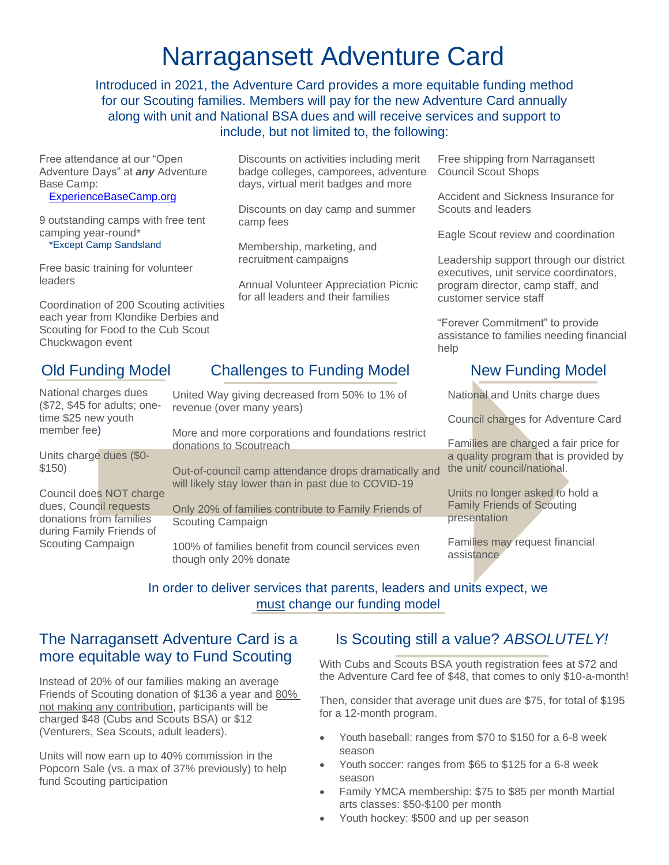## Narragansett Adventure Card

Introduced in 2021, the Adventure Card provides a more equitable funding method for our Scouting families. Members will pay for the new Adventure Card annually along with unit and National BSA dues and will receive services and support to include, but not limited to, the following:

Free attendance at our "Open Adventure Days" at *any* Adventure Base Camp:

[ExperienceBaseCamp.org](https://experiencebasecamp.org/)

9 outstanding camps with free tent camping year-round\*

\*Except Camp Sandsland

Free basic training for volunteer leaders

Coordination of 200 Scouting activities each year from Klondike Derbies and Scouting for Food to the Cub Scout Chuckwagon event

#### Old Funding Model

Discounts on activities including merit badge colleges, camporees, adventure days, virtual merit badges and more

Discounts on day camp and summer camp fees

Membership, marketing, and recruitment campaigns

Annual Volunteer Appreciation Picnic for all leaders and their families

Free shipping from Narragansett Council Scout Shops

Accident and Sickness Insurance for Scouts and leaders

Eagle Scout review and coordination

Leadership support through our district executives, unit service coordinators, program director, camp staff, and customer service staff

"Forever Commitment" to provide assistance to families needing financial help

### Challenges to Funding Model

National charges dues (\$72, \$45 for adults; onetime \$25 new youth member fee) Units charge dues (\$0- \$150) Council does NOT charge dues, Council requests donations from families during Family Friends of Scouting Campaign United Way giving decreased from 50% to 1% of revenue (over many years) More and more corporations and foundations restrict donations to Scoutreach Out-of-council camp attendance drops dramatically and will likely stay lower than in past due to COVID-19 Only 20% of families contribute to Family Friends of Scouting Campaign 100% of families benefit from council services even though only 20% donate

### New Funding Model

National and Units charge dues

Council charges for Adventure Card

Families are charged a fair price for a quality program that is provided by the unit/ council/national.

Units no longer asked to hold a Family Friends of Scouting presentation

Families may request financial assistance

#### In order to deliver services that parents, leaders and units expect, we must change our funding model

### The Narragansett Adventure Card is a more equitable way to Fund Scouting

Instead of 20% of our families making an average Friends of Scouting donation of \$136 a year and 80% not making any contribution, participants will be charged \$48 (Cubs and Scouts BSA) or \$12 (Venturers, Sea Scouts, adult leaders).

Units will now earn up to 40% commission in the Popcorn Sale (vs. a max of 37% previously) to help fund Scouting participation

#### Is Scouting still a value? *ABSOLUTELY!*

With Cubs and Scouts BSA youth registration fees at \$72 and the Adventure Card fee of \$48, that comes to only \$10-a-month!

Then, consider that average unit dues are \$75, for total of \$195 for a 12-month program.

- Youth baseball: ranges from \$70 to \$150 for a 6-8 week season
- Youth soccer: ranges from \$65 to \$125 for a 6-8 week season
- Family YMCA membership: \$75 to \$85 per month Martial arts classes: \$50-\$100 per month
- Youth hockey: \$500 and up per season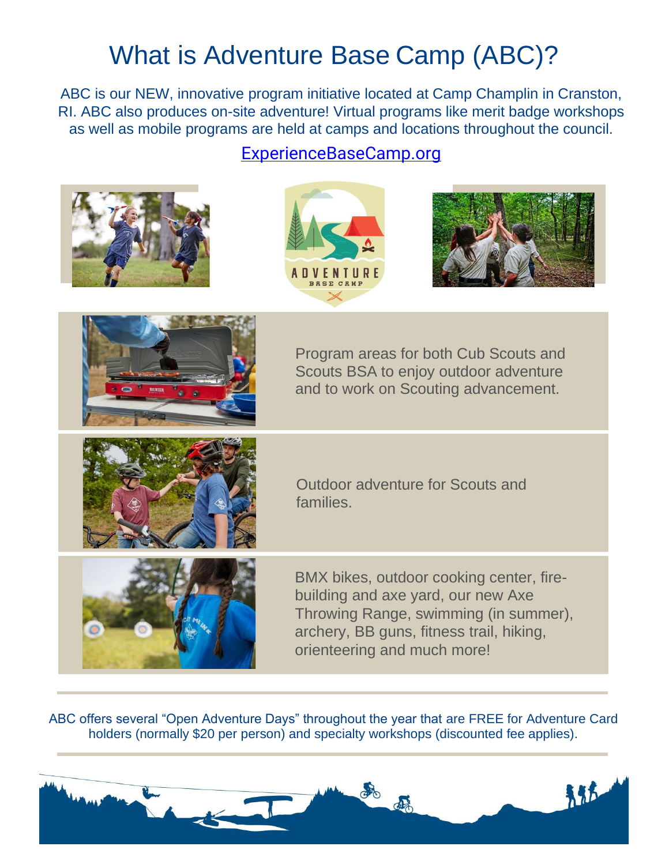# What is Adventure Base Camp (ABC)?

ABC is our NEW, innovative program initiative located at Camp Champlin in Cranston, RI. ABC also produces on-site adventure! Virtual programs like merit badge workshops as well as mobile programs are held at camps and locations throughout the council.

### [ExperienceBaseCamp.org](https://experiencebasecamp.org/)









Program areas for both Cub Scouts and Scouts BSA to enjoy outdoor adventure and to work on Scouting advancement.



Outdoor adventure for Scouts and families.



BMX bikes, outdoor cooking center, firebuilding and axe yard, our new Axe Throwing Range, swimming (in summer), archery, BB guns, fitness trail, hiking, orienteering and much more!

ABC offers several "Open Adventure Days" throughout the year that are FREE for Adventure Card holders (normally \$20 per person) and specialty workshops (discounted fee applies).

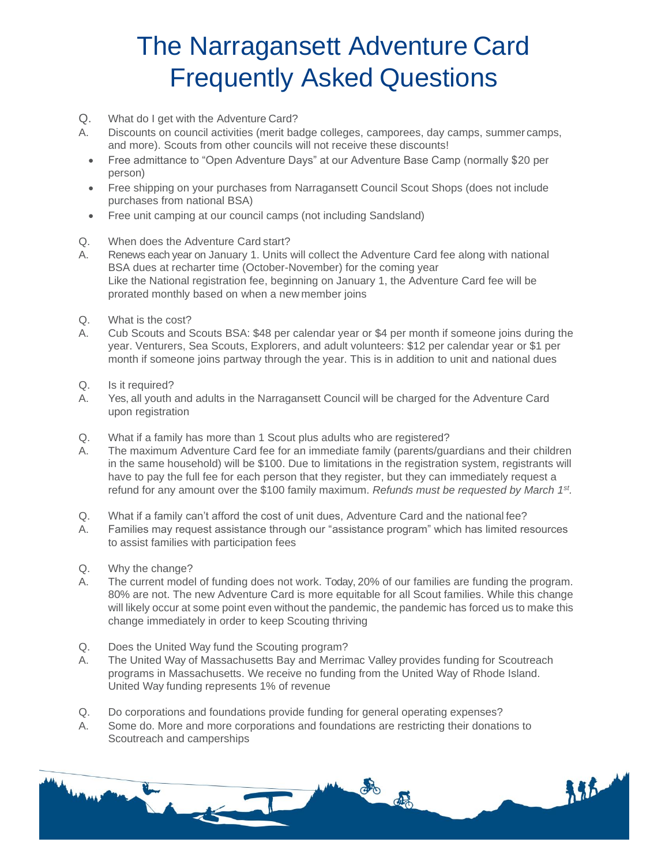# The Narragansett Adventure Card Frequently Asked Questions

- Q. What do I get with the Adventure Card?
- A. Discounts on council activities (merit badge colleges, camporees, day camps, summer camps, and more). Scouts from other councils will not receive these discounts!
	- Free admittance to "Open Adventure Days" at our Adventure Base Camp (normally \$20 per person)
	- Free shipping on your purchases from Narragansett Council Scout Shops (does not include purchases from national BSA)
	- Free unit camping at our council camps (not including Sandsland)
- Q. When does the Adventure Card start?
- A. Renews each year on January 1. Units will collect the Adventure Card fee along with national BSA dues at recharter time (October-November) for the coming year Like the National registration fee, beginning on January 1, the Adventure Card fee will be prorated monthly based on when a new member joins
- Q. What is the cost?
- A. Cub Scouts and Scouts BSA: \$48 per calendar year or \$4 per month if someone joins during the year. Venturers, Sea Scouts, Explorers, and adult volunteers: \$12 per calendar year or \$1 per month if someone joins partway through the year. This is in addition to unit and national dues
- Q. Is it required?
- A. Yes, all youth and adults in the Narragansett Council will be charged for the Adventure Card upon registration
- Q. What if a family has more than 1 Scout plus adults who are registered?
- A. The maximum Adventure Card fee for an immediate family (parents/guardians and their children in the same household) will be \$100. Due to limitations in the registration system, registrants will have to pay the full fee for each person that they register, but they can immediately request a refund for any amount over the \$100 family maximum. *Refunds must be requested by March 1st .*
- Q. What if a family can't afford the cost of unit dues, Adventure Card and the national fee?
- A. Families may request assistance through our "assistance program" which has limited resources to assist families with participation fees
- Q. Why the change?
- A. The current model of funding does not work. Today, 20% of our families are funding the program. 80% are not. The new Adventure Card is more equitable for all Scout families. While this change will likely occur at some point even without the pandemic, the pandemic has forced us to make this change immediately in order to keep Scouting thriving
- Q. Does the United Way fund the Scouting program?
- A. The United Way of Massachusetts Bay and Merrimac Valley provides funding for Scoutreach programs in Massachusetts. We receive no funding from the United Way of Rhode Island. United Way funding represents 1% of revenue
- Q. Do corporations and foundations provide funding for general operating expenses?
- A. Some do. More and more corporations and foundations are restricting their donations to Scoutreach and camperships